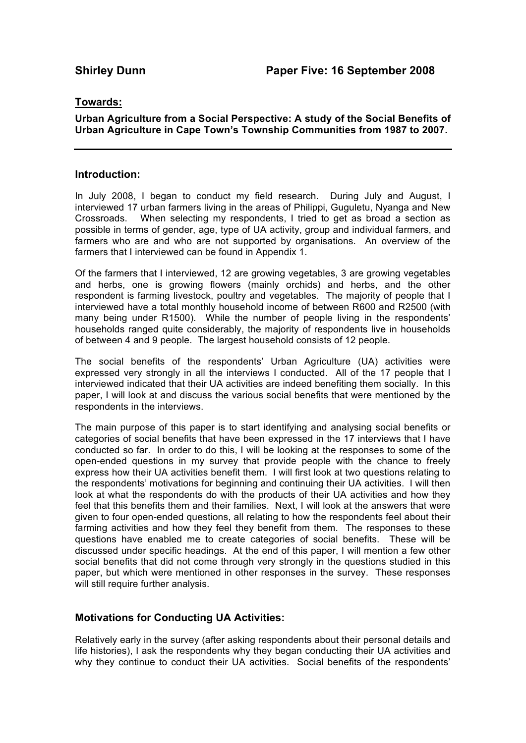## **Towards:**

## **Urban Agriculture from a Social Perspective: A study of the Social Benefits of Urban Agriculture in Cape Town's Township Communities from 1987 to 2007.**

## **Introduction:**

In July 2008, I began to conduct my field research. During July and August, I interviewed 17 urban farmers living in the areas of Philippi, Guguletu, Nyanga and New Crossroads. When selecting my respondents, I tried to get as broad a section as possible in terms of gender, age, type of UA activity, group and individual farmers, and farmers who are and who are not supported by organisations. An overview of the farmers that I interviewed can be found in Appendix 1.

Of the farmers that I interviewed, 12 are growing vegetables, 3 are growing vegetables and herbs, one is growing flowers (mainly orchids) and herbs, and the other respondent is farming livestock, poultry and vegetables. The majority of people that I interviewed have a total monthly household income of between R600 and R2500 (with many being under R1500). While the number of people living in the respondents' households ranged quite considerably, the majority of respondents live in households of between 4 and 9 people. The largest household consists of 12 people.

The social benefits of the respondents' Urban Agriculture (UA) activities were expressed very strongly in all the interviews I conducted. All of the 17 people that I interviewed indicated that their UA activities are indeed benefiting them socially. In this paper, I will look at and discuss the various social benefits that were mentioned by the respondents in the interviews.

The main purpose of this paper is to start identifying and analysing social benefits or categories of social benefits that have been expressed in the 17 interviews that I have conducted so far. In order to do this, I will be looking at the responses to some of the open-ended questions in my survey that provide people with the chance to freely express how their UA activities benefit them. I will first look at two questions relating to the respondents' motivations for beginning and continuing their UA activities. I will then look at what the respondents do with the products of their UA activities and how they feel that this benefits them and their families. Next, I will look at the answers that were given to four open-ended questions, all relating to how the respondents feel about their farming activities and how they feel they benefit from them. The responses to these questions have enabled me to create categories of social benefits. These will be discussed under specific headings. At the end of this paper, I will mention a few other social benefits that did not come through very strongly in the questions studied in this paper, but which were mentioned in other responses in the survey. These responses will still require further analysis.

# **Motivations for Conducting UA Activities:**

Relatively early in the survey (after asking respondents about their personal details and life histories), I ask the respondents why they began conducting their UA activities and why they continue to conduct their UA activities. Social benefits of the respondents'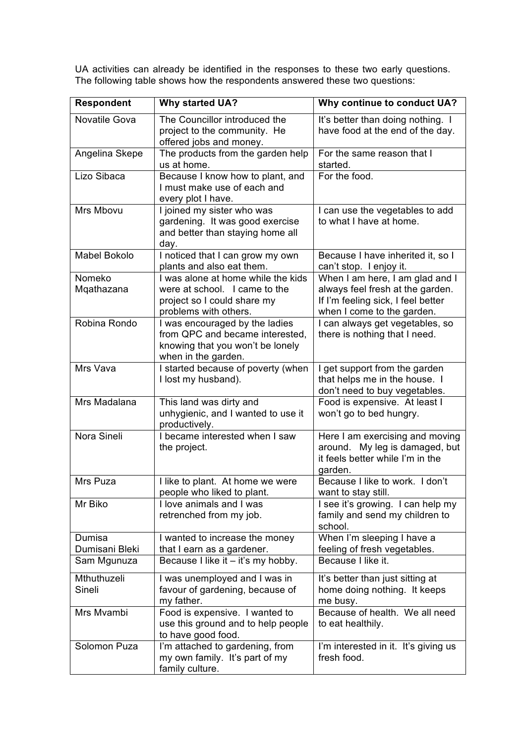UA activities can already be identified in the responses to these two early questions. The following table shows how the respondents answered these two questions:

| <b>Respondent</b>             | <b>Why started UA?</b>                                                                                                       | Why continue to conduct UA?                                                                                                             |
|-------------------------------|------------------------------------------------------------------------------------------------------------------------------|-----------------------------------------------------------------------------------------------------------------------------------------|
| Novatile Gova                 | The Councillor introduced the<br>project to the community. He<br>offered jobs and money.                                     | It's better than doing nothing. I<br>have food at the end of the day.                                                                   |
| Angelina Skepe                | The products from the garden help<br>us at home.                                                                             | For the same reason that I<br>started.                                                                                                  |
| Lizo Sibaca                   | Because I know how to plant, and<br>I must make use of each and<br>every plot I have.                                        | For the food.                                                                                                                           |
| Mrs Mbovu                     | I joined my sister who was<br>gardening. It was good exercise<br>and better than staying home all<br>day.                    | I can use the vegetables to add<br>to what I have at home.                                                                              |
| Mabel Bokolo                  | I noticed that I can grow my own<br>plants and also eat them.                                                                | Because I have inherited it, so I<br>can't stop. I enjoy it.                                                                            |
| Nomeko<br>Mqathazana          | I was alone at home while the kids<br>were at school. I came to the<br>project so I could share my<br>problems with others.  | When I am here, I am glad and I<br>always feel fresh at the garden.<br>If I'm feeling sick, I feel better<br>when I come to the garden. |
| Robina Rondo                  | I was encouraged by the ladies<br>from QPC and became interested,<br>knowing that you won't be lonely<br>when in the garden. | I can always get vegetables, so<br>there is nothing that I need.                                                                        |
| Mrs Vava                      | I started because of poverty (when<br>I lost my husband).                                                                    | I get support from the garden<br>that helps me in the house. I<br>don't need to buy vegetables.                                         |
| Mrs Madalana                  | This land was dirty and<br>unhygienic, and I wanted to use it<br>productively.                                               | Food is expensive. At least I<br>won't go to bed hungry.                                                                                |
| Nora Sineli                   | I became interested when I saw<br>the project.                                                                               | Here I am exercising and moving<br>around. My leg is damaged, but<br>it feels better while I'm in the<br>garden.                        |
| Mrs Puza                      | I like to plant. At home we were<br>people who liked to plant.                                                               | Because I like to work. I don't<br>want to stay still.                                                                                  |
| Mr Biko                       | I love animals and I was<br>retrenched from my job.                                                                          | I see it's growing. I can help my<br>family and send my children to<br>school.                                                          |
| Dumisa                        | I wanted to increase the money                                                                                               | When I'm sleeping I have a                                                                                                              |
| Dumisani Bleki<br>Sam Mgunuza | that I earn as a gardener.<br>Because I like it – it's my hobby.                                                             | feeling of fresh vegetables.<br>Because I like it.                                                                                      |
|                               |                                                                                                                              |                                                                                                                                         |
| Mthuthuzeli<br>Sineli         | I was unemployed and I was in<br>favour of gardening, because of<br>my father.                                               | It's better than just sitting at<br>home doing nothing. It keeps<br>me busy.                                                            |
| Mrs Mvambi                    | Food is expensive. I wanted to<br>use this ground and to help people<br>to have good food.                                   | Because of health. We all need<br>to eat healthily.                                                                                     |
| Solomon Puza                  | I'm attached to gardening, from<br>my own family. It's part of my<br>family culture.                                         | I'm interested in it. It's giving us<br>fresh food.                                                                                     |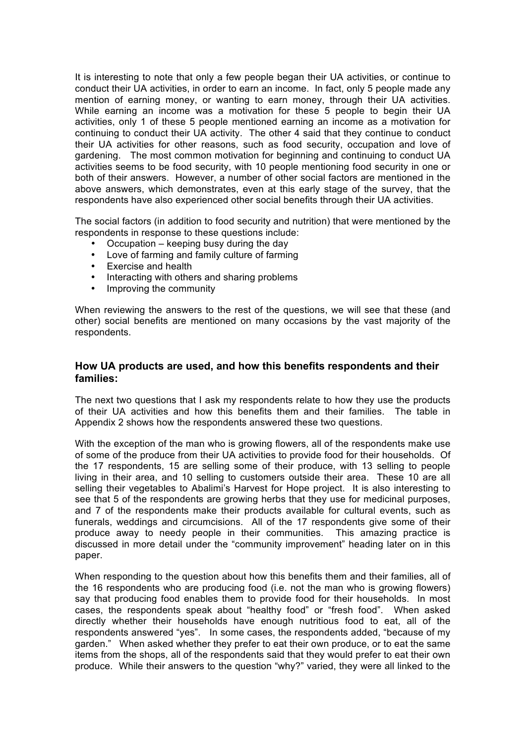It is interesting to note that only a few people began their UA activities, or continue to conduct their UA activities, in order to earn an income. In fact, only 5 people made any mention of earning money, or wanting to earn money, through their UA activities. While earning an income was a motivation for these 5 people to begin their UA activities, only 1 of these 5 people mentioned earning an income as a motivation for continuing to conduct their UA activity. The other 4 said that they continue to conduct their UA activities for other reasons, such as food security, occupation and love of gardening. The most common motivation for beginning and continuing to conduct UA activities seems to be food security, with 10 people mentioning food security in one or both of their answers. However, a number of other social factors are mentioned in the above answers, which demonstrates, even at this early stage of the survey, that the respondents have also experienced other social benefits through their UA activities.

The social factors (in addition to food security and nutrition) that were mentioned by the respondents in response to these questions include:

- Occupation keeping busy during the day
- Love of farming and family culture of farming
- Exercise and health
- Interacting with others and sharing problems
- Improving the community

When reviewing the answers to the rest of the questions, we will see that these (and other) social benefits are mentioned on many occasions by the vast majority of the respondents.

## **How UA products are used, and how this benefits respondents and their families:**

The next two questions that I ask my respondents relate to how they use the products of their UA activities and how this benefits them and their families. The table in Appendix 2 shows how the respondents answered these two questions.

With the exception of the man who is growing flowers, all of the respondents make use of some of the produce from their UA activities to provide food for their households. Of the 17 respondents, 15 are selling some of their produce, with 13 selling to people living in their area, and 10 selling to customers outside their area. These 10 are all selling their vegetables to Abalimi's Harvest for Hope project. It is also interesting to see that 5 of the respondents are growing herbs that they use for medicinal purposes, and 7 of the respondents make their products available for cultural events, such as funerals, weddings and circumcisions. All of the 17 respondents give some of their produce away to needy people in their communities. This amazing practice is discussed in more detail under the "community improvement" heading later on in this paper.

When responding to the question about how this benefits them and their families, all of the 16 respondents who are producing food (i.e. not the man who is growing flowers) say that producing food enables them to provide food for their households. In most cases, the respondents speak about "healthy food" or "fresh food". When asked directly whether their households have enough nutritious food to eat, all of the respondents answered "yes". In some cases, the respondents added, "because of my garden." When asked whether they prefer to eat their own produce, or to eat the same items from the shops, all of the respondents said that they would prefer to eat their own produce. While their answers to the question "why?" varied, they were all linked to the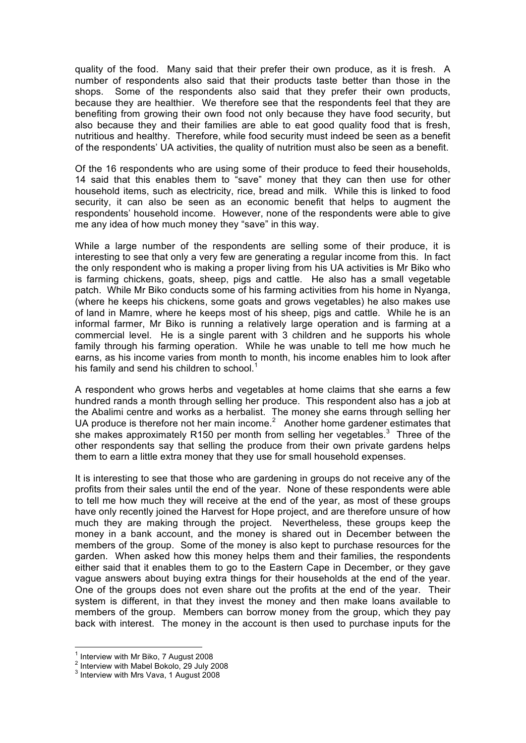quality of the food. Many said that their prefer their own produce, as it is fresh. A number of respondents also said that their products taste better than those in the shops. Some of the respondents also said that they prefer their own products, because they are healthier. We therefore see that the respondents feel that they are benefiting from growing their own food not only because they have food security, but also because they and their families are able to eat good quality food that is fresh, nutritious and healthy. Therefore, while food security must indeed be seen as a benefit of the respondents' UA activities, the quality of nutrition must also be seen as a benefit.

Of the 16 respondents who are using some of their produce to feed their households, 14 said that this enables them to "save" money that they can then use for other household items, such as electricity, rice, bread and milk. While this is linked to food security, it can also be seen as an economic benefit that helps to augment the respondents' household income. However, none of the respondents were able to give me any idea of how much money they "save" in this way.

While a large number of the respondents are selling some of their produce, it is interesting to see that only a very few are generating a regular income from this. In fact the only respondent who is making a proper living from his UA activities is Mr Biko who is farming chickens, goats, sheep, pigs and cattle. He also has a small vegetable patch. While Mr Biko conducts some of his farming activities from his home in Nyanga, (where he keeps his chickens, some goats and grows vegetables) he also makes use of land in Mamre, where he keeps most of his sheep, pigs and cattle. While he is an informal farmer, Mr Biko is running a relatively large operation and is farming at a commercial level. He is a single parent with 3 children and he supports his whole family through his farming operation. While he was unable to tell me how much he earns, as his income varies from month to month, his income enables him to look after his family and send his children to school.<sup>1</sup>

A respondent who grows herbs and vegetables at home claims that she earns a few hundred rands a month through selling her produce. This respondent also has a job at the Abalimi centre and works as a herbalist. The money she earns through selling her UA produce is therefore not her main income. $2$  Another home gardener estimates that she makes approximately R150 per month from selling her vegetables.<sup>3</sup> Three of the other respondents say that selling the produce from their own private gardens helps them to earn a little extra money that they use for small household expenses.

It is interesting to see that those who are gardening in groups do not receive any of the profits from their sales until the end of the year. None of these respondents were able to tell me how much they will receive at the end of the year, as most of these groups have only recently joined the Harvest for Hope project, and are therefore unsure of how much they are making through the project. Nevertheless, these groups keep the money in a bank account, and the money is shared out in December between the members of the group. Some of the money is also kept to purchase resources for the garden. When asked how this money helps them and their families, the respondents either said that it enables them to go to the Eastern Cape in December, or they gave vague answers about buying extra things for their households at the end of the year. One of the groups does not even share out the profits at the end of the year. Their system is different, in that they invest the money and then make loans available to members of the group. Members can borrow money from the group, which they pay back with interest. The money in the account is then used to purchase inputs for the

 $\frac{1}{1}$  $1$  Interview with Mr Biko, 7 August 2008

 $2$  Interview with Mabel Bokolo, 29 July 2008

 $3$  Interview with Mrs Vava, 1 August 2008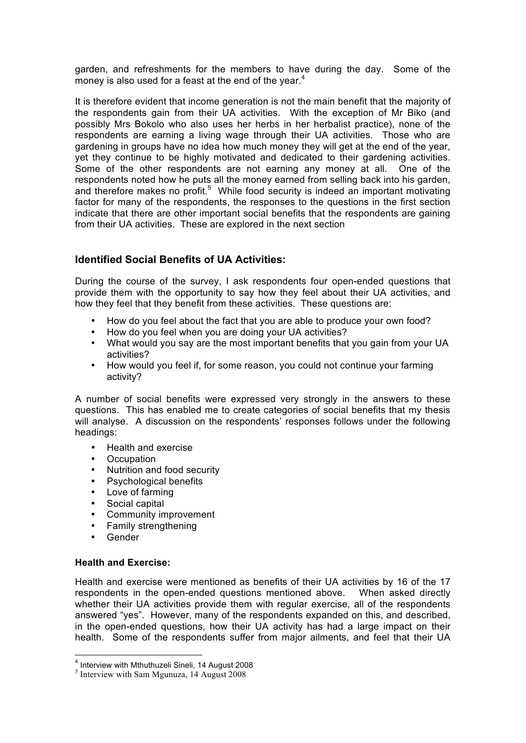garden, and refreshments for the members to have during the day. Some of the money is also used for a feast at the end of the year. $4$ 

It is therefore evident that income generation is not the main benefit that the majority of the respondents gain from their UA activities. With the exception of Mr Biko (and possibly Mrs Bokolo who also uses her herbs in her herbalist practice), none of the respondents are earning a living wage through their UA activities. Those who are gardening in groups have no idea how much money they will get at the end of the year, yet they continue to be highly motivated and dedicated to their gardening activities. Some of the other respondents are not earning any money at all. One of the respondents noted how he puts all the money earned from selling back into his garden, and therefore makes no profit.<sup>5</sup> While food security is indeed an important motivating factor for many of the respondents, the responses to the questions in the first section indicate that there are other important social benefits that the respondents are gaining from their UA activities. These are explored in the next section

# **Identified Social Benefits of UA Activities:**

During the course of the survey, I ask respondents four open-ended questions that provide them with the opportunity to say how they feel about their UA activities, and how they feel that they benefit from these activities. These questions are:

- How do you feel about the fact that you are able to produce your own food?
- How do you feel when you are doing your UA activities?
- What would you say are the most important benefits that you gain from your UA activities?
- How would you feel if, for some reason, you could not continue your farming activity?

A number of social benefits were expressed very strongly in the answers to these questions. This has enabled me to create categories of social benefits that my thesis will analyse. A discussion on the respondents' responses follows under the following headings:

- Health and exercise
- Occupation
- Nutrition and food security
- Psychological benefits
- Love of farming
- Social capital
- Community improvement
- Family strengthening
- Gender

## **Health and Exercise:**

Health and exercise were mentioned as benefits of their UA activities by 16 of the 17 respondents in the open-ended questions mentioned above. When asked directly whether their UA activities provide them with regular exercise, all of the respondents answered "yes". However, many of the respondents expanded on this, and described, in the open-ended questions, how their UA activity has had a large impact on their health. Some of the respondents suffer from major ailments, and feel that their UA

 $\frac{1}{4}$  $<sup>4</sup>$  Interview with Mthuthuzeli Sineli, 14 August 2008</sup>

<sup>5</sup> Interview with Sam Mgunuza, 14 August 2008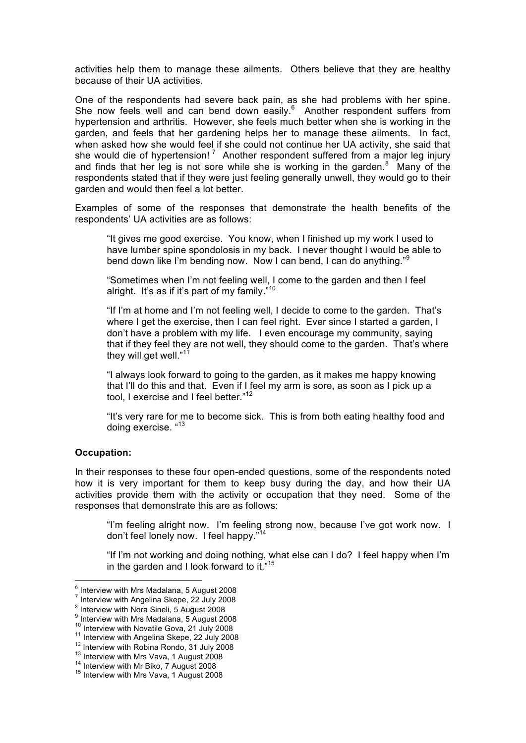activities help them to manage these ailments. Others believe that they are healthy because of their UA activities.

One of the respondents had severe back pain, as she had problems with her spine. She now feels well and can bend down easily. $6$  Another respondent suffers from hypertension and arthritis. However, she feels much better when she is working in the garden, and feels that her gardening helps her to manage these ailments. In fact, when asked how she would feel if she could not continue her UA activity, she said that she would die of hypertension!<sup>7</sup> Another respondent suffered from a major leg injury and finds that her leg is not sore while she is working in the garden. $8$  Many of the respondents stated that if they were just feeling generally unwell, they would go to their garden and would then feel a lot better.

Examples of some of the responses that demonstrate the health benefits of the respondents' UA activities are as follows:

"It gives me good exercise. You know, when I finished up my work I used to have lumber spine spondolosis in my back. I never thought I would be able to bend down like I'm bending now. Now I can bend, I can do anything."<sup>9</sup>

"Sometimes when I'm not feeling well, I come to the garden and then I feel alright. It's as if it's part of my family."<sup>10</sup>

"If I'm at home and I'm not feeling well, I decide to come to the garden. That's where I get the exercise, then I can feel right. Ever since I started a garden, I don't have a problem with my life. I even encourage my community, saying that if they feel they are not well, they should come to the garden. That's where they will get well." $11$ 

"I always look forward to going to the garden, as it makes me happy knowing that I'll do this and that. Even if I feel my arm is sore, as soon as I pick up a tool, I exercise and I feel better."<sup>12</sup>

"It's very rare for me to become sick. This is from both eating healthy food and doing exercise. "<sup>13</sup>

#### **Occupation:**

In their responses to these four open-ended questions, some of the respondents noted how it is very important for them to keep busy during the day, and how their UA activities provide them with the activity or occupation that they need. Some of the responses that demonstrate this are as follows:

"I'm feeling alright now. I'm feeling strong now, because I've got work now. I don't feel lonely now. I feel happy."<sup>14</sup>

"If I'm not working and doing nothing, what else can I do? I feel happy when I'm in the garden and I look forward to it."<sup>15</sup>

 $^6$  Interview with Mrs Madalana, 5 August 2008

Interview with Angelina Skepe, 22 July 2008

 $8$  Interview with Nora Sineli, 5 August 2008

<sup>9</sup> Interview with Mrs Madalana, 5 August 2008

<sup>&</sup>lt;sup>10</sup> Interview with Novatile Gova, 21 July 2008<br><sup>11</sup> Interview with Angelina Skepe, 22 July 2008<br><sup>12</sup> Interview with Robina Rondo, 31 July 2008<br><sup>13</sup> Interview with Mrs Vava, 1 August 2008<br><sup>14</sup> Interview with Mr Biko, 7 Au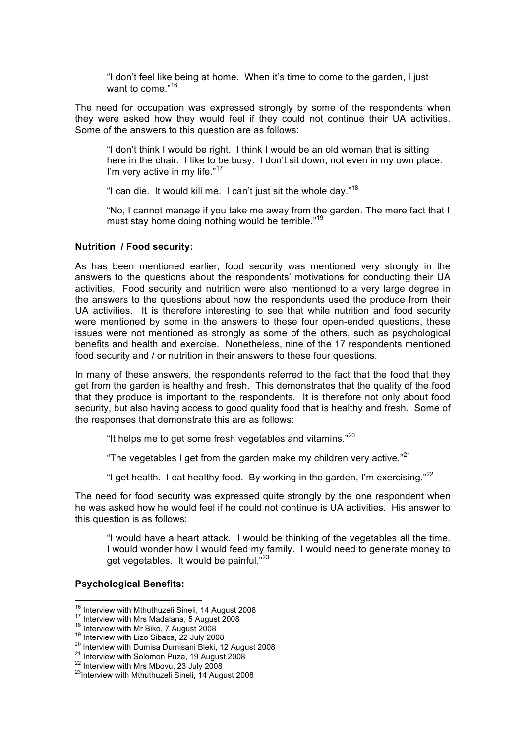"I don't feel like being at home. When it's time to come to the garden, I just want to come."<sup>16</sup>

The need for occupation was expressed strongly by some of the respondents when they were asked how they would feel if they could not continue their UA activities. Some of the answers to this question are as follows:

"I don't think I would be right. I think I would be an old woman that is sitting here in the chair. I like to be busy. I don't sit down, not even in my own place. I'm very active in my life." $17$ 

"I can die. It would kill me. I can't just sit the whole day."<sup>18</sup>

"No, I cannot manage if you take me away from the garden. The mere fact that I must stay home doing nothing would be terrible."<sup>19</sup>

#### **Nutrition / Food security:**

As has been mentioned earlier, food security was mentioned very strongly in the answers to the questions about the respondents' motivations for conducting their UA activities. Food security and nutrition were also mentioned to a very large degree in the answers to the questions about how the respondents used the produce from their UA activities. It is therefore interesting to see that while nutrition and food security were mentioned by some in the answers to these four open-ended questions, these issues were not mentioned as strongly as some of the others, such as psychological benefits and health and exercise. Nonetheless, nine of the 17 respondents mentioned food security and / or nutrition in their answers to these four questions.

In many of these answers, the respondents referred to the fact that the food that they get from the garden is healthy and fresh. This demonstrates that the quality of the food that they produce is important to the respondents. It is therefore not only about food security, but also having access to good quality food that is healthy and fresh. Some of the responses that demonstrate this are as follows:

"It helps me to get some fresh vegetables and vitamins." $^{20}$ 

"The vegetables I get from the garden make my children very active."<sup>21</sup>

"I get health. I eat healthy food. By working in the garden, I'm exercising." $^{22}$ 

The need for food security was expressed quite strongly by the one respondent when he was asked how he would feel if he could not continue is UA activities. His answer to this question is as follows:

"I would have a heart attack. I would be thinking of the vegetables all the time. I would wonder how I would feed my family. I would need to generate money to get vegetables. It would be painful."23

#### **Psychological Benefits:**

<sup>&</sup>lt;sup>16</sup> Interview with Mthuthuzeli Sineli, 14 August 2008<br>
<sup>17</sup> Interview with Mrs Madalana, 5 August 2008<br>
<sup>18</sup> Interview with Mr Biko, 7 August 2008<br>
<sup>19</sup> Interview with Lizo Sibaca, 22 July 2008<br>
<sup>20</sup> Interview with Dumis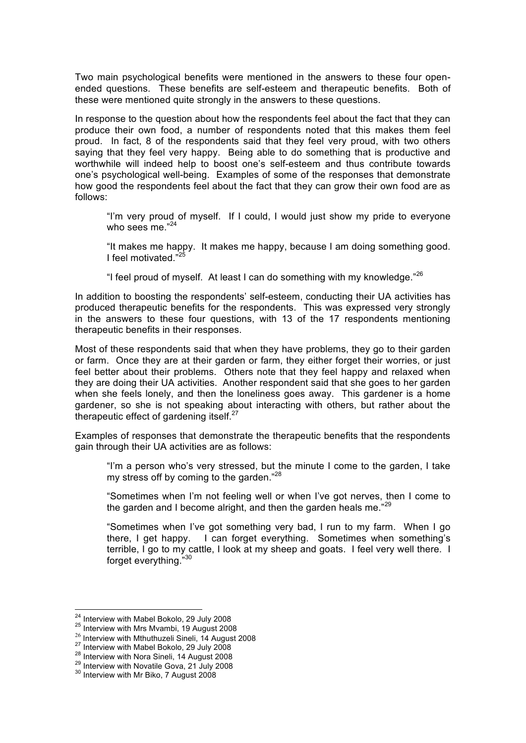Two main psychological benefits were mentioned in the answers to these four openended questions. These benefits are self-esteem and therapeutic benefits. Both of these were mentioned quite strongly in the answers to these questions.

In response to the question about how the respondents feel about the fact that they can produce their own food, a number of respondents noted that this makes them feel proud. In fact, 8 of the respondents said that they feel very proud, with two others saying that they feel very happy. Being able to do something that is productive and worthwhile will indeed help to boost one's self-esteem and thus contribute towards one's psychological well-being. Examples of some of the responses that demonstrate how good the respondents feel about the fact that they can grow their own food are as follows:

"I'm very proud of myself. If I could, I would just show my pride to everyone who sees me. $^{24}$ 

"It makes me happy. It makes me happy, because I am doing something good. I feel motivated."

"I feel proud of myself. At least I can do something with my knowledge." $^{26}$ 

In addition to boosting the respondents' self-esteem, conducting their UA activities has produced therapeutic benefits for the respondents. This was expressed very strongly in the answers to these four questions, with 13 of the 17 respondents mentioning therapeutic benefits in their responses.

Most of these respondents said that when they have problems, they go to their garden or farm. Once they are at their garden or farm, they either forget their worries, or just feel better about their problems. Others note that they feel happy and relaxed when they are doing their UA activities. Another respondent said that she goes to her garden when she feels lonely, and then the loneliness goes away. This gardener is a home gardener, so she is not speaking about interacting with others, but rather about the therapeutic effect of gardening itself.<sup>27</sup>

Examples of responses that demonstrate the therapeutic benefits that the respondents gain through their UA activities are as follows:

"I'm a person who's very stressed, but the minute I come to the garden, I take my stress off by coming to the garden."<sup>28</sup>

"Sometimes when I'm not feeling well or when I've got nerves, then I come to the garden and I become alright, and then the garden heals me."<sup>29</sup>

"Sometimes when I've got something very bad, I run to my farm. When I go there, I get happy. I can forget everything. Sometimes when something's terrible, I go to my cattle, I look at my sheep and goats. I feel very well there. I forget everything."30

<sup>&</sup>lt;sup>24</sup> Interview with Mabel Bokolo, 29 July 2008<br><sup>25</sup> Interview with Mrs Mvambi, 19 August 2008<br><sup>26</sup> Interview with Mthuthuzeli Sineli, 14 August 2008

<sup>&</sup>lt;sup>27</sup> Interview with Mabel Bokolo, 29 July 2008<br><sup>28</sup> Interview with Nora Sineli, 14 August 2008<br><sup>29</sup> Interview with Novatile Gova, 21 July 2008<br><sup>30</sup> Interview with Mr Biko, 7 August 2008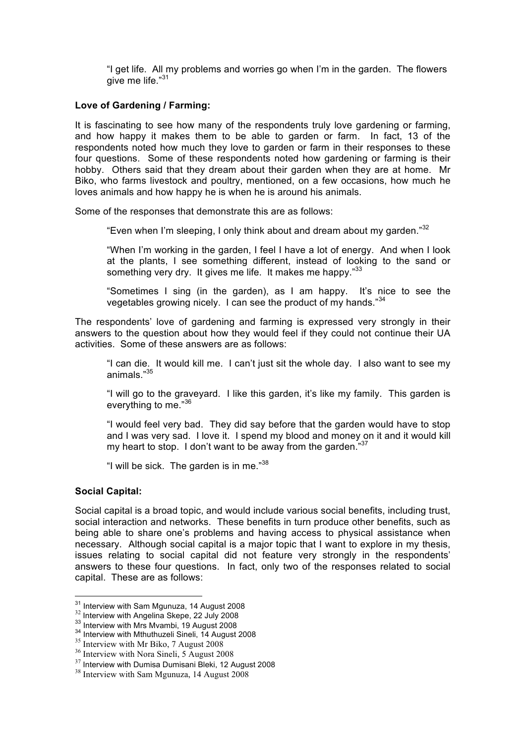"I get life. All my problems and worries go when I'm in the garden. The flowers give me life."<sup>31</sup>

#### **Love of Gardening / Farming:**

It is fascinating to see how many of the respondents truly love gardening or farming, and how happy it makes them to be able to garden or farm. In fact, 13 of the respondents noted how much they love to garden or farm in their responses to these four questions. Some of these respondents noted how gardening or farming is their hobby. Others said that they dream about their garden when they are at home. Mr Biko, who farms livestock and poultry, mentioned, on a few occasions, how much he loves animals and how happy he is when he is around his animals.

Some of the responses that demonstrate this are as follows:

"Even when I'm sleeping, I only think about and dream about my garden."<sup>32</sup>

"When I'm working in the garden, I feel I have a lot of energy. And when I look at the plants, I see something different, instead of looking to the sand or something very dry. It gives me life. It makes me happy."33

"Sometimes I sing (in the garden), as I am happy. It's nice to see the vegetables growing nicely. I can see the product of my hands." $34$ 

The respondents' love of gardening and farming is expressed very strongly in their answers to the question about how they would feel if they could not continue their UA activities. Some of these answers are as follows:

"I can die. It would kill me. I can't just sit the whole day. I also want to see my animals<sup>"35</sup>

"I will go to the graveyard. I like this garden, it's like my family. This garden is everything to me."36

"I would feel very bad. They did say before that the garden would have to stop and I was very sad. I love it. I spend my blood and money on it and it would kill my heart to stop. I don't want to be away from the garden."37

"I will be sick. The garden is in me."<sup>38</sup>

## **Social Capital:**

Social capital is a broad topic, and would include various social benefits, including trust, social interaction and networks. These benefits in turn produce other benefits, such as being able to share one's problems and having access to physical assistance when necessary. Although social capital is a major topic that I want to explore in my thesis, issues relating to social capital did not feature very strongly in the respondents' answers to these four questions. In fact, only two of the responses related to social capital. These are as follows:

<sup>&</sup>lt;sup>31</sup> Interview with Sam Mgunuza, 14 August 2008<br><sup>32</sup> Interview with Angelina Skepe, 22 July 2008<br><sup>33</sup> Interview with Mrs Mvambi, 19 August 2008<br><sup>34</sup> Interview with Mthuthuzeli Sineli, 14 August 2008<br><sup>35</sup> Interview with Mr

<sup>37</sup> Interview with Dumisa Dumisani Bleki, 12 August 2008

<sup>&</sup>lt;sup>38</sup> Interview with Sam Mgunuza, 14 August 2008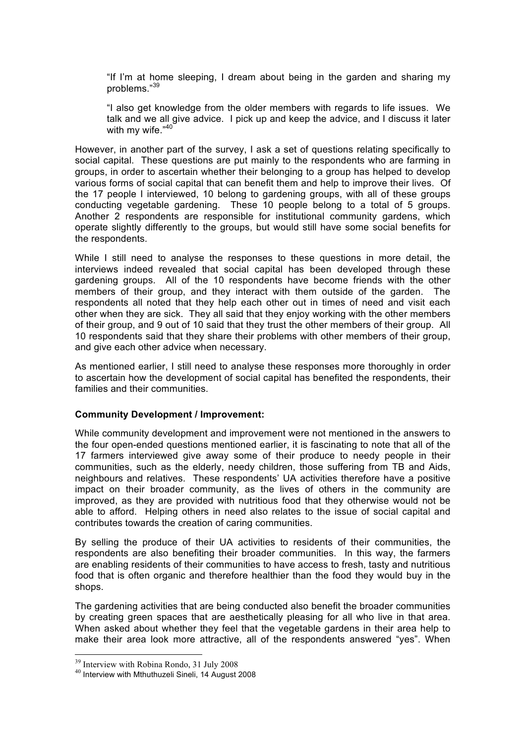"If I'm at home sleeping, I dream about being in the garden and sharing my problems."<sup>39</sup>

"I also get knowledge from the older members with regards to life issues. We talk and we all give advice. I pick up and keep the advice, and I discuss it later with my wife."40

However, in another part of the survey, I ask a set of questions relating specifically to social capital. These questions are put mainly to the respondents who are farming in groups, in order to ascertain whether their belonging to a group has helped to develop various forms of social capital that can benefit them and help to improve their lives. Of the 17 people I interviewed, 10 belong to gardening groups, with all of these groups conducting vegetable gardening. These 10 people belong to a total of 5 groups. Another 2 respondents are responsible for institutional community gardens, which operate slightly differently to the groups, but would still have some social benefits for the respondents.

While I still need to analyse the responses to these questions in more detail, the interviews indeed revealed that social capital has been developed through these gardening groups. All of the 10 respondents have become friends with the other members of their group, and they interact with them outside of the garden. The respondents all noted that they help each other out in times of need and visit each other when they are sick. They all said that they enjoy working with the other members of their group, and 9 out of 10 said that they trust the other members of their group. All 10 respondents said that they share their problems with other members of their group, and give each other advice when necessary.

As mentioned earlier, I still need to analyse these responses more thoroughly in order to ascertain how the development of social capital has benefited the respondents, their families and their communities.

#### **Community Development / Improvement:**

While community development and improvement were not mentioned in the answers to the four open-ended questions mentioned earlier, it is fascinating to note that all of the 17 farmers interviewed give away some of their produce to needy people in their communities, such as the elderly, needy children, those suffering from TB and Aids, neighbours and relatives. These respondents' UA activities therefore have a positive impact on their broader community, as the lives of others in the community are improved, as they are provided with nutritious food that they otherwise would not be able to afford. Helping others in need also relates to the issue of social capital and contributes towards the creation of caring communities.

By selling the produce of their UA activities to residents of their communities, the respondents are also benefiting their broader communities. In this way, the farmers are enabling residents of their communities to have access to fresh, tasty and nutritious food that is often organic and therefore healthier than the food they would buy in the shops.

The gardening activities that are being conducted also benefit the broader communities by creating green spaces that are aesthetically pleasing for all who live in that area. When asked about whether they feel that the vegetable gardens in their area help to make their area look more attractive, all of the respondents answered "yes". When

 <sup>39</sup> Interview with Robina Rondo, 31 July 2008

<sup>40</sup> Interview with Mthuthuzeli Sineli, 14 August 2008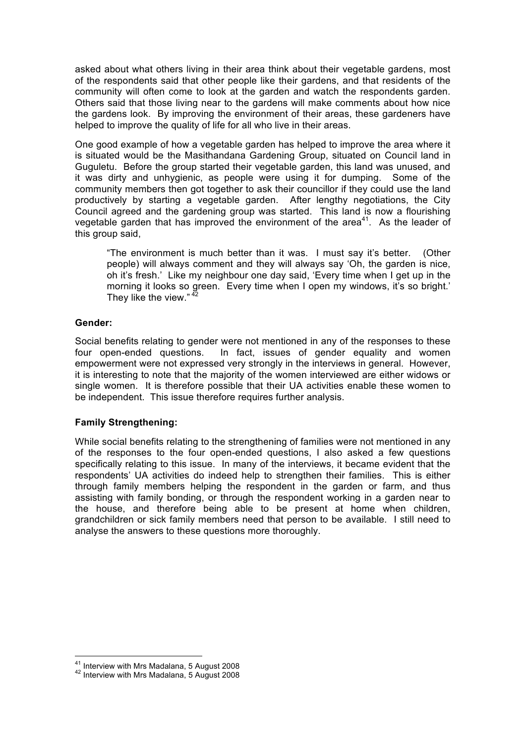asked about what others living in their area think about their vegetable gardens, most of the respondents said that other people like their gardens, and that residents of the community will often come to look at the garden and watch the respondents garden. Others said that those living near to the gardens will make comments about how nice the gardens look. By improving the environment of their areas, these gardeners have helped to improve the quality of life for all who live in their areas.

One good example of how a vegetable garden has helped to improve the area where it is situated would be the Masithandana Gardening Group, situated on Council land in Guguletu. Before the group started their vegetable garden, this land was unused, and it was dirty and unhygienic, as people were using it for dumping. Some of the community members then got together to ask their councillor if they could use the land productively by starting a vegetable garden. After lengthy negotiations, the City Council agreed and the gardening group was started. This land is now a flourishing vegetable garden that has improved the environment of the area<sup>41</sup>. As the leader of this group said,

"The environment is much better than it was. I must say it's better. (Other people) will always comment and they will always say 'Oh, the garden is nice, oh it's fresh.' Like my neighbour one day said, 'Every time when I get up in the morning it looks so green. Every time when I open my windows, it's so bright.' They like the view." $4$ 

## **Gender:**

Social benefits relating to gender were not mentioned in any of the responses to these four open-ended questions. In fact, issues of gender equality and women empowerment were not expressed very strongly in the interviews in general. However, it is interesting to note that the majority of the women interviewed are either widows or single women. It is therefore possible that their UA activities enable these women to be independent. This issue therefore requires further analysis.

# **Family Strengthening:**

While social benefits relating to the strengthening of families were not mentioned in any of the responses to the four open-ended questions, I also asked a few questions specifically relating to this issue. In many of the interviews, it became evident that the respondents' UA activities do indeed help to strengthen their families. This is either through family members helping the respondent in the garden or farm, and thus assisting with family bonding, or through the respondent working in a garden near to the house, and therefore being able to be present at home when children, grandchildren or sick family members need that person to be available. I still need to analyse the answers to these questions more thoroughly.

<sup>&</sup>lt;sup>41</sup> Interview with Mrs Madalana, 5 August 2008<br><sup>42</sup> Interview with Mrs Madalana, 5 August 2008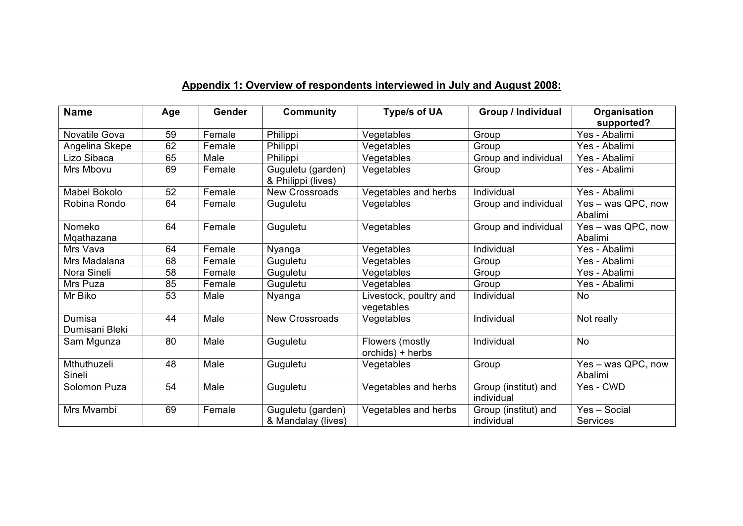| <b>Name</b>              | Age | <b>Gender</b> | <b>Community</b>                        | Type/s of UA                         | Group / Individual                 | Organisation                  |
|--------------------------|-----|---------------|-----------------------------------------|--------------------------------------|------------------------------------|-------------------------------|
|                          |     |               |                                         |                                      |                                    | supported?                    |
| Novatile Gova            | 59  | Female        | Philippi                                | Vegetables                           | Group                              | Yes - Abalimi                 |
| Angelina Skepe           | 62  | Female        | Philippi                                | Vegetables                           | Group                              | Yes - Abalimi                 |
| Lizo Sibaca              | 65  | Male          | Philippi                                | Vegetables                           | Group and individual               | Yes - Abalimi                 |
| Mrs Mbovu                | 69  | Female        | Guguletu (garden)<br>& Philippi (lives) | Vegetables                           | Group                              | Yes - Abalimi                 |
| <b>Mabel Bokolo</b>      | 52  | Female        | <b>New Crossroads</b>                   | Vegetables and herbs                 | Individual                         | Yes - Abalimi                 |
| Robina Rondo             | 64  | Female        | Guguletu                                | Vegetables                           | Group and individual               | Yes - was QPC, now<br>Abalimi |
| Nomeko<br>Mqathazana     | 64  | Female        | Guguletu                                | Vegetables                           | Group and individual               | Yes - was QPC, now<br>Abalimi |
| Mrs Vava                 | 64  | Female        | Nyanga                                  | Vegetables                           | Individual                         | Yes - Abalimi                 |
| Mrs Madalana             | 68  | Female        | Guguletu                                | Vegetables                           | Group                              | Yes - Abalimi                 |
| Nora Sineli              | 58  | Female        | Guguletu                                | Vegetables                           | Group                              | Yes - Abalimi                 |
| Mrs Puza                 | 85  | Female        | Guguletu                                | Vegetables                           | Group                              | Yes - Abalimi                 |
| Mr Biko                  | 53  | Male          | Nyanga                                  | Livestock, poultry and<br>vegetables | Individual                         | <b>No</b>                     |
| Dumisa<br>Dumisani Bleki | 44  | Male          | <b>New Crossroads</b>                   | Vegetables                           | Individual                         | Not really                    |
| Sam Mgunza               | 80  | Male          | Guguletu                                | Flowers (mostly<br>orchids) + herbs  | Individual                         | <b>No</b>                     |
| Mthuthuzeli<br>Sineli    | 48  | Male          | Guguletu                                | Vegetables                           | Group                              | Yes - was QPC, now<br>Abalimi |
| Solomon Puza             | 54  | Male          | Guguletu                                | Vegetables and herbs                 | Group (institut) and<br>individual | Yes - CWD                     |
| Mrs Mvambi               | 69  | Female        | Guguletu (garden)<br>& Mandalay (lives) | Vegetables and herbs                 | Group (institut) and<br>individual | Yes - Social<br>Services      |

# **Appendix 1: Overview of respondents interviewed in July and August 2008:**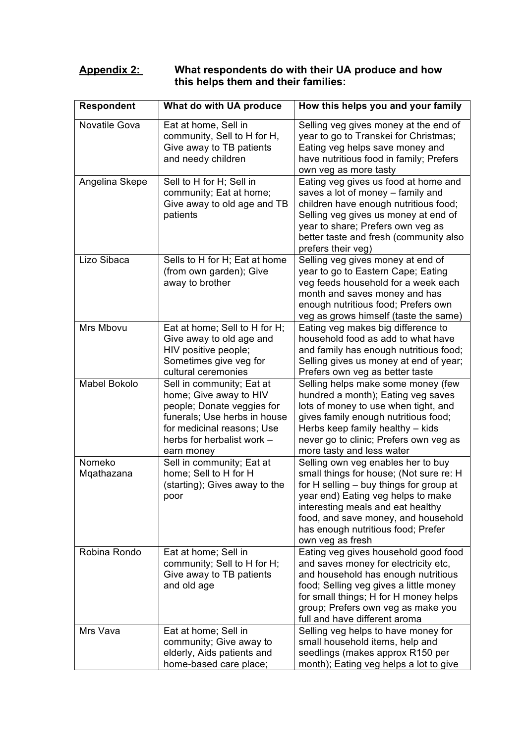# **Appendix 2: What respondents do with their UA produce and how this helps them and their families:**

| <b>Respondent</b>    | What do with UA produce                                                                                                                                                                     | How this helps you and your family                                                                                                                                                                                                                                                                   |
|----------------------|---------------------------------------------------------------------------------------------------------------------------------------------------------------------------------------------|------------------------------------------------------------------------------------------------------------------------------------------------------------------------------------------------------------------------------------------------------------------------------------------------------|
| Novatile Gova        | Eat at home, Sell in<br>community, Sell to H for H,<br>Give away to TB patients<br>and needy children                                                                                       | Selling veg gives money at the end of<br>year to go to Transkei for Christmas;<br>Eating veg helps save money and<br>have nutritious food in family; Prefers<br>own veg as more tasty                                                                                                                |
| Angelina Skepe       | Sell to H for H; Sell in<br>community; Eat at home;<br>Give away to old age and TB<br>patients                                                                                              | Eating veg gives us food at home and<br>saves a lot of money - family and<br>children have enough nutritious food;<br>Selling veg gives us money at end of<br>year to share; Prefers own veg as<br>better taste and fresh (community also<br>prefers their veg)                                      |
| Lizo Sibaca          | Sells to H for H; Eat at home<br>(from own garden); Give<br>away to brother                                                                                                                 | Selling veg gives money at end of<br>year to go to Eastern Cape; Eating<br>veg feeds household for a week each<br>month and saves money and has<br>enough nutritious food; Prefers own<br>veg as grows himself (taste the same)                                                                      |
| Mrs Mbovu            | Eat at home; Sell to H for H;<br>Give away to old age and<br>HIV positive people;<br>Sometimes give veg for<br>cultural ceremonies                                                          | Eating veg makes big difference to<br>household food as add to what have<br>and family has enough nutritious food;<br>Selling gives us money at end of year;<br>Prefers own veg as better taste                                                                                                      |
| <b>Mabel Bokolo</b>  | Sell in community; Eat at<br>home; Give away to HIV<br>people; Donate veggies for<br>funerals; Use herbs in house<br>for medicinal reasons; Use<br>herbs for herbalist work -<br>earn money | Selling helps make some money (few<br>hundred a month); Eating veg saves<br>lots of money to use when tight, and<br>gives family enough nutritious food;<br>Herbs keep family healthy - kids<br>never go to clinic; Prefers own veg as<br>more tasty and less water                                  |
| Nomeko<br>Mqathazana | Sell in community; Eat at<br>home; Sell to H for H<br>(starting); Gives away to the<br>poor                                                                                                 | Selling own veg enables her to buy<br>small things for house; (Not sure re: H<br>for H selling – buy things for group at<br>year end) Eating veg helps to make<br>interesting meals and eat healthy<br>food, and save money, and household<br>has enough nutritious food; Prefer<br>own veg as fresh |
| Robina Rondo         | Eat at home; Sell in<br>community; Sell to H for H;<br>Give away to TB patients<br>and old age                                                                                              | Eating veg gives household good food<br>and saves money for electricity etc,<br>and household has enough nutritious<br>food; Selling veg gives a little money<br>for small things; H for H money helps<br>group; Prefers own veg as make you<br>full and have different aroma                        |
| Mrs Vava             | Eat at home; Sell in<br>community; Give away to<br>elderly, Aids patients and<br>home-based care place;                                                                                     | Selling veg helps to have money for<br>small household items, help and<br>seedlings (makes approx R150 per<br>month); Eating veg helps a lot to give                                                                                                                                                 |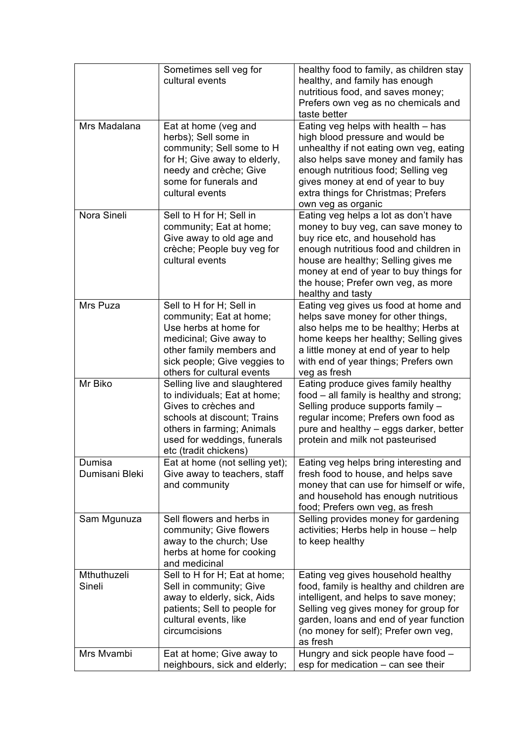|                          | Sometimes sell veg for<br>cultural events                                                                                                                                                                 | healthy food to family, as children stay<br>healthy, and family has enough<br>nutritious food, and saves money;<br>Prefers own veg as no chemicals and<br>taste better                                                                                                                               |
|--------------------------|-----------------------------------------------------------------------------------------------------------------------------------------------------------------------------------------------------------|------------------------------------------------------------------------------------------------------------------------------------------------------------------------------------------------------------------------------------------------------------------------------------------------------|
| Mrs Madalana             | Eat at home (veg and<br>herbs); Sell some in<br>community; Sell some to H<br>for H; Give away to elderly,<br>needy and crèche; Give<br>some for funerals and<br>cultural events                           | Eating veg helps with health - has<br>high blood pressure and would be<br>unhealthy if not eating own veg, eating<br>also helps save money and family has<br>enough nutritious food; Selling veg<br>gives money at end of year to buy<br>extra things for Christmas; Prefers<br>own veg as organic   |
| Nora Sineli              | Sell to H for H; Sell in<br>community; Eat at home;<br>Give away to old age and<br>crèche; People buy veg for<br>cultural events                                                                          | Eating veg helps a lot as don't have<br>money to buy veg, can save money to<br>buy rice etc, and household has<br>enough nutritious food and children in<br>house are healthy; Selling gives me<br>money at end of year to buy things for<br>the house; Prefer own veg, as more<br>healthy and tasty |
| Mrs Puza                 | Sell to H for H; Sell in<br>community; Eat at home;<br>Use herbs at home for<br>medicinal; Give away to<br>other family members and<br>sick people; Give veggies to<br>others for cultural events         | Eating veg gives us food at home and<br>helps save money for other things,<br>also helps me to be healthy; Herbs at<br>home keeps her healthy; Selling gives<br>a little money at end of year to help<br>with end of year things; Prefers own<br>veg as fresh                                        |
| Mr Biko                  | Selling live and slaughtered<br>to individuals; Eat at home;<br>Gives to crèches and<br>schools at discount; Trains<br>others in farming; Animals<br>used for weddings, funerals<br>etc (tradit chickens) | Eating produce gives family healthy<br>food - all family is healthy and strong;<br>Selling produce supports family -<br>regular income; Prefers own food as<br>pure and healthy – eggs darker, better<br>protein and milk not pasteurised                                                            |
| Dumisa<br>Dumisani Bleki | Eat at home (not selling yet);<br>Give away to teachers, staff<br>and community                                                                                                                           | Eating veg helps bring interesting and<br>fresh food to house, and helps save<br>money that can use for himself or wife,<br>and household has enough nutritious<br>food; Prefers own veg, as fresh                                                                                                   |
| Sam Mgunuza              | Sell flowers and herbs in<br>community; Give flowers<br>away to the church; Use<br>herbs at home for cooking<br>and medicinal                                                                             | Selling provides money for gardening<br>activities; Herbs help in house - help<br>to keep healthy                                                                                                                                                                                                    |
| Mthuthuzeli<br>Sineli    | Sell to H for H; Eat at home;<br>Sell in community; Give<br>away to elderly, sick, Aids<br>patients; Sell to people for<br>cultural events, like<br>circumcisions                                         | Eating veg gives household healthy<br>food, family is healthy and children are<br>intelligent, and helps to save money;<br>Selling veg gives money for group for<br>garden, loans and end of year function<br>(no money for self); Prefer own veg,<br>as fresh                                       |
| Mrs Mvambi               | Eat at home; Give away to<br>neighbours, sick and elderly;                                                                                                                                                | Hungry and sick people have food -<br>esp for medication - can see their                                                                                                                                                                                                                             |